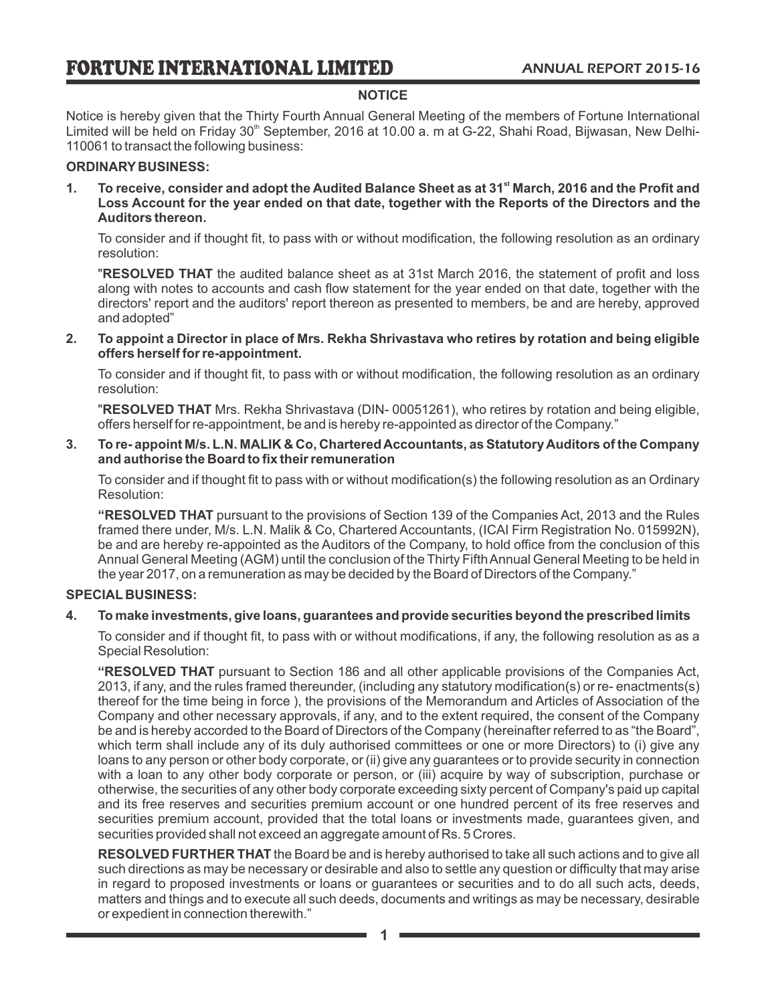### **NOTICE**

Notice is hereby given that the Thirty Fourth Annual General Meeting of the members of Fortune International Limited will be held on Friday 30<sup>th</sup> September, 2016 at 10.00 a. m at G-22, Shahi Road, Bijwasan, New Delhi-110061 to transact the following business:

### **ORDINARY BUSINESS:**

**st 1. To receive, consider and adopt the Audited Balance Sheet as at 31 March, 2016 and the Profit and Loss Account for the year ended on that date, together with the Reports of the Directors and the Auditors thereon.**

To consider and if thought fit, to pass with or without modification, the following resolution as an ordinary resolution:

"**RESOLVED THAT** the audited balance sheet as at 31st March 2016, the statement of profit and loss along with notes to accounts and cash flow statement for the year ended on that date, together with the directors' report and the auditors' report thereon as presented to members, be and are hereby, approved and adopted"

**2. To appoint a Director in place of Mrs. Rekha Shrivastava who retires by rotation and being eligible offers herself for re-appointment.**

To consider and if thought fit, to pass with or without modification, the following resolution as an ordinary resolution:

"**RESOLVED THAT** Mrs. Rekha Shrivastava (DIN- 00051261), who retires by rotation and being eligible, offers herself for re-appointment, be and is hereby re-appointed as director of the Company."

#### **3. To re- appoint M/s. L.N. MALIK & Co, Chartered Accountants, as Statutory Auditors of the Company and authorise the Board to fix their remuneration**

To consider and if thought fit to pass with or without modification(s) the following resolution as an Ordinary Resolution:

**"RESOLVED THAT** pursuant to the provisions of Section 139 of the Companies Act, 2013 and the Rules framed there under, M/s. L.N. Malik & Co, Chartered Accountants, (ICAI Firm Registration No. 015992N), be and are hereby re-appointed as the Auditors of the Company, to hold office from the conclusion of this Annual General Meeting (AGM) until the conclusion of the Thirty Fifth Annual General Meeting to be held in the year 2017, on a remuneration as may be decided by the Board of Directors of the Company."

#### **SPECIAL BUSINESS:**

### **4. To make investments, give loans, guarantees and provide securities beyond the prescribed limits**

To consider and if thought fit, to pass with or without modifications, if any, the following resolution as as a Special Resolution:

**"RESOLVED THAT** pursuant to Section 186 and all other applicable provisions of the Companies Act, 2013, if any, and the rules framed thereunder, (including any statutory modification(s) or re- enactments(s) thereof for the time being in force ), the provisions of the Memorandum and Articles of Association of the Company and other necessary approvals, if any, and to the extent required, the consent of the Company be and is hereby accorded to the Board of Directors of the Company (hereinafter referred to as "the Board", which term shall include any of its duly authorised committees or one or more Directors) to (i) give any loans to any person or other body corporate, or (ii) give any guarantees or to provide security in connection with a loan to any other body corporate or person, or (iii) acquire by way of subscription, purchase or otherwise, the securities of any other body corporate exceeding sixty percent of Company's paid up capital and its free reserves and securities premium account or one hundred percent of its free reserves and securities premium account, provided that the total loans or investments made, guarantees given, and securities provided shall not exceed an aggregate amount of Rs. 5 Crores.

**RESOLVED FURTHER THAT** the Board be and is hereby authorised to take all such actions and to give all such directions as may be necessary or desirable and also to settle any question or difficulty that may arise in regard to proposed investments or loans or guarantees or securities and to do all such acts, deeds, matters and things and to execute all such deeds, documents and writings as may be necessary, desirable or expedient in connection therewith."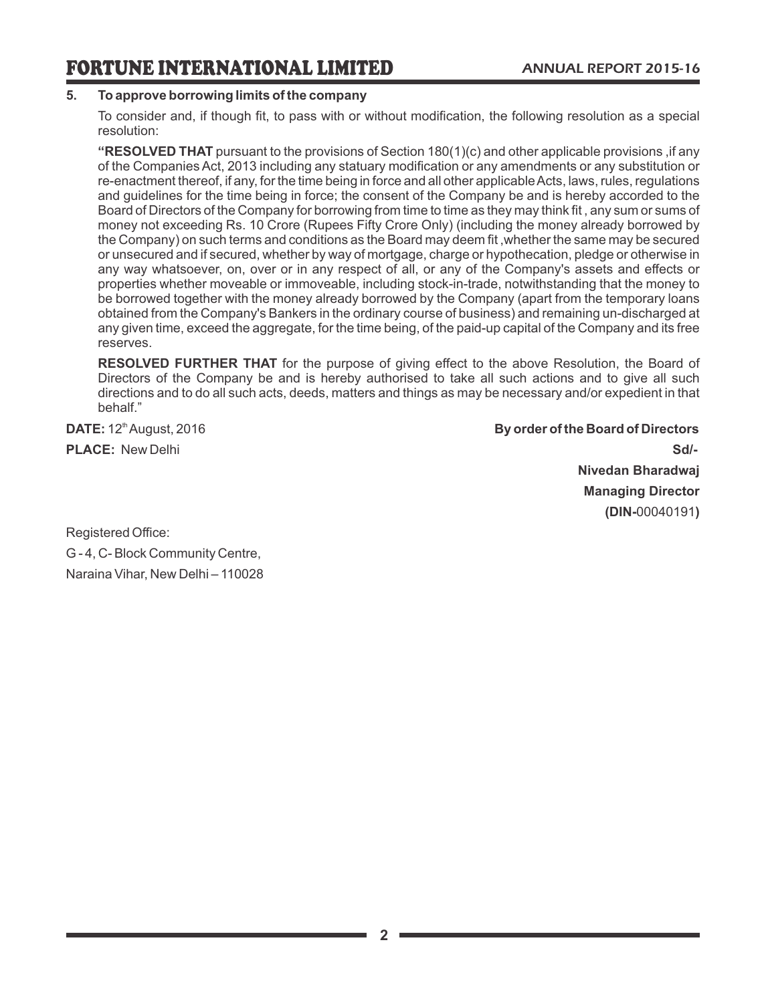# **5. To approve borrowing limits of the company**

To consider and, if though fit, to pass with or without modification, the following resolution as a special resolution:

**"RESOLVED THAT** pursuant to the provisions of Section 180(1)(c) and other applicable provisions ,if any of the Companies Act, 2013 including any statuary modification or any amendments or any substitution or re-enactment thereof, if any, for the time being in force and all other applicable Acts, laws, rules, regulations and guidelines for the time being in force; the consent of the Company be and is hereby accorded to the Board of Directors of the Company for borrowing from time to time as they may think fit , any sum or sums of money not exceeding Rs. 10 Crore (Rupees Fifty Crore Only) (including the money already borrowed by the Company) on such terms and conditions as the Board may deem fit ,whether the same may be secured or unsecured and if secured, whether by way of mortgage, charge or hypothecation, pledge or otherwise in any way whatsoever, on, over or in any respect of all, or any of the Company's assets and effects or properties whether moveable or immoveable, including stock-in-trade, notwithstanding that the money to be borrowed together with the money already borrowed by the Company (apart from the temporary loans obtained from the Company's Bankers in the ordinary course of business) and remaining un-discharged at any given time, exceed the aggregate, for the time being, of the paid-up capital of the Company and its free reserves.

**RESOLVED FURTHER THAT** for the purpose of giving effect to the above Resolution, the Board of Directors of the Company be and is hereby authorised to take all such actions and to give all such directions and to do all such acts, deeds, matters and things as may be necessary and/or expedient in that behalf."

**DATE:**  $12^{\text{th}}$  August, 2016 **By order of the Board of Directors By order of the Board of Directors PLACE:** New Delhi **Sd/- Nivedan Bharadwaj Managing Director (DIN-**00040191**)**

Registered Office: G - 4, C- Block Community Centre, Naraina Vihar, New Delhi – 110028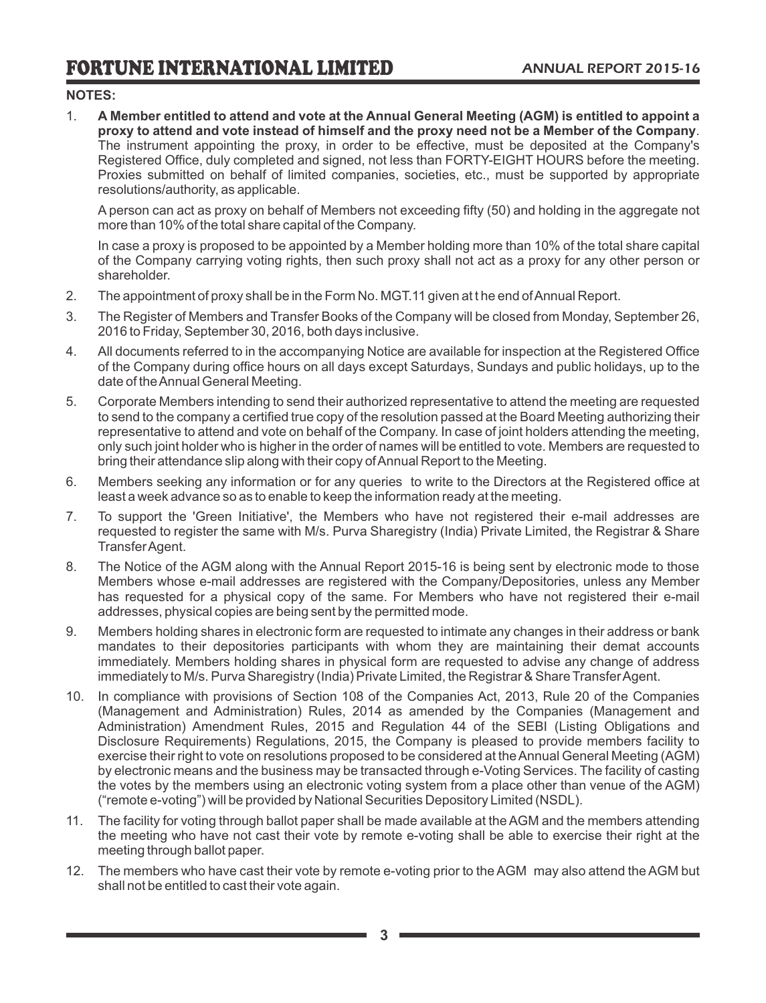# **NOTES:**

1. **A Member entitled to attend and vote at the Annual General Meeting (AGM) is entitled to appoint a proxy to attend and vote instead of himself and the proxy need not be a Member of the Company**. The instrument appointing the proxy, in order to be effective, must be deposited at the Company's Registered Office, duly completed and signed, not less than FORTY-EIGHT HOURS before the meeting. Proxies submitted on behalf of limited companies, societies, etc., must be supported by appropriate resolutions/authority, as applicable.

A person can act as proxy on behalf of Members not exceeding fifty (50) and holding in the aggregate not more than 10% of the total share capital of the Company.

In case a proxy is proposed to be appointed by a Member holding more than 10% of the total share capital of the Company carrying voting rights, then such proxy shall not act as a proxy for any other person or shareholder.

- 2. The appointment of proxy shall be in the Form No. MGT.11 given at t he end of Annual Report.
- 3. The Register of Members and Transfer Books of the Company will be closed from Monday, September 26, 2016 to Friday, September 30, 2016, both days inclusive.
- 4. All documents referred to in the accompanying Notice are available for inspection at the Registered Office of the Company during office hours on all days except Saturdays, Sundays and public holidays, up to the date of the Annual General Meeting.
- 5. Corporate Members intending to send their authorized representative to attend the meeting are requested to send to the company a certified true copy of the resolution passed at the Board Meeting authorizing their representative to attend and vote on behalf of the Company. In case of joint holders attending the meeting, only such joint holder who is higher in the order of names will be entitled to vote. Members are requested to bring their attendance slip along with their copy of Annual Report to the Meeting.
- 6. Members seeking any information or for any queries to write to the Directors at the Registered office at least a week advance so as to enable to keep the information ready at the meeting.
- 7. To support the 'Green Initiative', the Members who have not registered their e-mail addresses are requested to register the same with M/s. Purva Sharegistry (India) Private Limited, the Registrar & Share Transfer Agent.
- 8. The Notice of the AGM along with the Annual Report 2015-16 is being sent by electronic mode to those Members whose e-mail addresses are registered with the Company/Depositories, unless any Member has requested for a physical copy of the same. For Members who have not registered their e-mail addresses, physical copies are being sent by the permitted mode.
- 9. Members holding shares in electronic form are requested to intimate any changes in their address or bank mandates to their depositories participants with whom they are maintaining their demat accounts immediately. Members holding shares in physical form are requested to advise any change of address immediately to M/s. Purva Sharegistry (India) Private Limited, the Registrar & Share Transfer Agent.
- 10. In compliance with provisions of Section 108 of the Companies Act, 2013, Rule 20 of the Companies (Management and Administration) Rules, 2014 as amended by the Companies (Management and Administration) Amendment Rules, 2015 and Regulation 44 of the SEBI (Listing Obligations and Disclosure Requirements) Regulations, 2015, the Company is pleased to provide members facility to exercise their right to vote on resolutions proposed to be considered at the Annual General Meeting (AGM) by electronic means and the business may be transacted through e-Voting Services. The facility of casting the votes by the members using an electronic voting system from a place other than venue of the AGM) ("remote e-voting") will be provided by National Securities Depository Limited (NSDL).
- 11. The facility for voting through ballot paper shall be made available at the AGM and the members attending the meeting who have not cast their vote by remote e-voting shall be able to exercise their right at the meeting through ballot paper.
- 12. The members who have cast their vote by remote e-voting prior to the AGM may also attend the AGM but shall not be entitled to cast their vote again.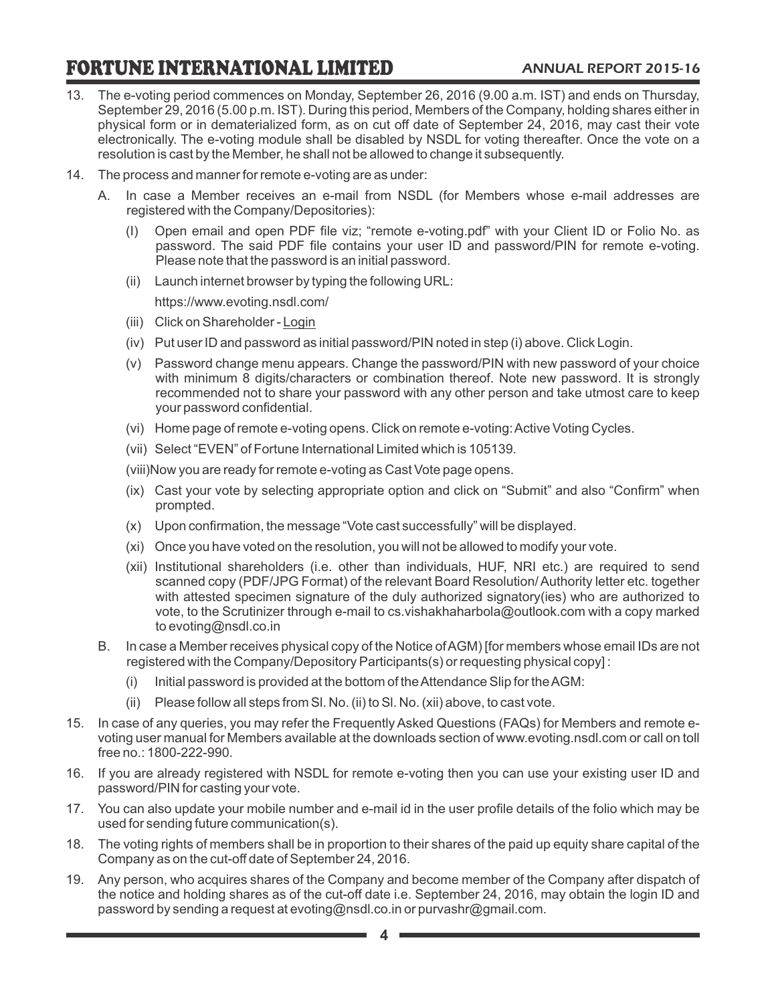- 13. The e-voting period commences on Monday, September 26, 2016 (9.00 a.m. IST) and ends on Thursday, September 29, 2016 (5.00 p.m. IST). During this period, Members of the Company, holding shares either in physical form or in dematerialized form, as on cut off date of September 24, 2016, may cast their vote electronically. The e-voting module shall be disabled by NSDL for voting thereafter. Once the vote on a resolution is cast by the Member, he shall not be allowed to change it subsequently.
- 14. The process and manner for remote e-voting are as under:
	- A. In case a Member receives an e-mail from NSDL (for Members whose e-mail addresses are registered with the Company/Depositories):
		- (I) Open email and open PDF file viz; "remote e-voting.pdf" with your Client ID or Folio No. as password. The said PDF file contains your user ID and password/PIN for remote e-voting. Please note that the password is an initial password.
		- (ii) Launch internet browser by typing the following URL:

https://www.evoting.nsdl.com/

- (iii) Click on Shareholder Login
- (iv) Put user ID and password as initial password/PIN noted in step (i) above. Click Login.
- (v) Password change menu appears. Change the password/PIN with new password of your choice with minimum 8 digits/characters or combination thereof. Note new password. It is strongly recommended not to share your password with any other person and take utmost care to keep your password confidential.
- (vi) Home page of remote e-voting opens. Click on remote e-voting: Active Voting Cycles.
- (vii) Select "EVEN" of Fortune International Limited which is 105139.

(viii)Now you are ready for remote e-voting as Cast Vote page opens.

- (ix) Cast your vote by selecting appropriate option and click on "Submit" and also "Confirm" when prompted.
- (x) Upon confirmation, the message "Vote cast successfully" will be displayed.
- (xi) Once you have voted on the resolution, you will not be allowed to modify your vote.
- (xii) Institutional shareholders (i.e. other than individuals, HUF, NRI etc.) are required to send scanned copy (PDF/JPG Format) of the relevant Board Resolution/ Authority letter etc. together with attested specimen signature of the duly authorized signatory(ies) who are authorized to vote, to the Scrutinizer through e-mail to cs.vishakhaharbola@outlook.com with a copy marked to evoting@nsdl.co.in
- B. In case a Member receives physical copy of the Notice of AGM) [for members whose email IDs are not registered with the Company/Depository Participants(s) or requesting physical copy] :
	- (i) Initial password is provided at the bottom of the Attendance Slip for the AGM:
	- (ii) Please follow all steps from Sl. No. (ii) to Sl. No. (xii) above, to cast vote.
- 15. In case of any queries, you may refer the Frequently Asked Questions (FAQs) for Members and remote evoting user manual for Members available at the downloads section of www.evoting.nsdl.com or call on toll free no.: 1800-222-990.
- 16. If you are already registered with NSDL for remote e-voting then you can use your existing user ID and password/PIN for casting your vote.
- 17. You can also update your mobile number and e-mail id in the user profile details of the folio which may be used for sending future communication(s).
- 18. The voting rights of members shall be in proportion to their shares of the paid up equity share capital of the Company as on the cut-off date of September 24, 2016.
- 19. Any person, who acquires shares of the Company and become member of the Company after dispatch of the notice and holding shares as of the cut-off date i.e. September 24, 2016, may obtain the login ID and password by sending a request at evoting@nsdl.co.in or purvashr@gmail.com.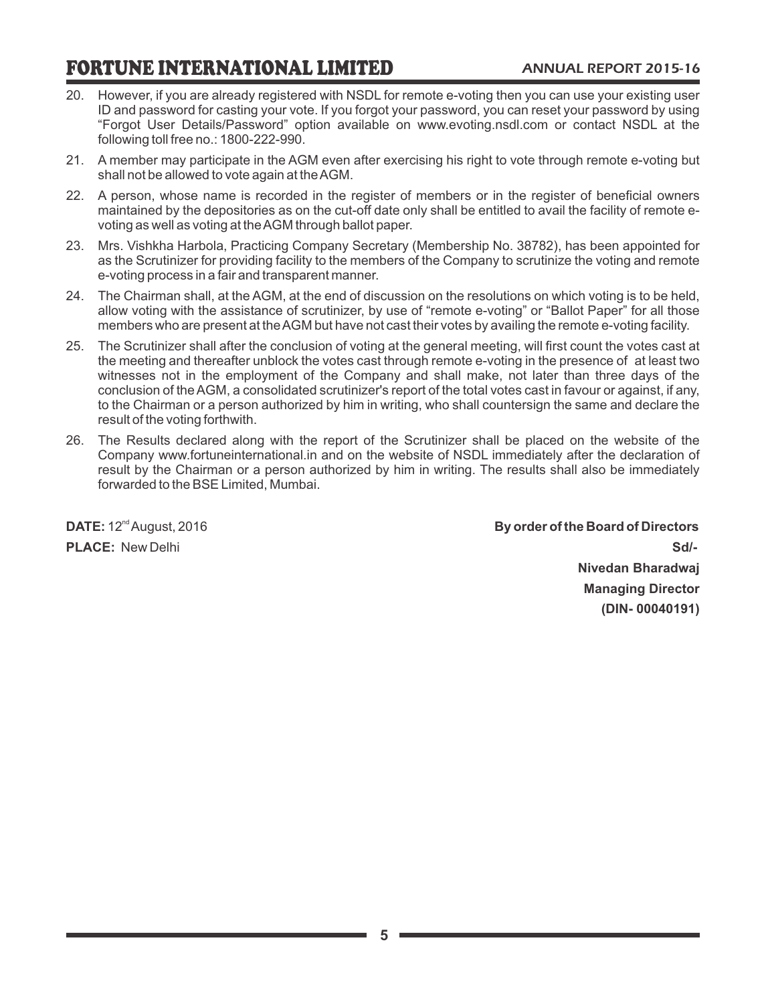- 20. However, if you are already registered with NSDL for remote e-voting then you can use your existing user ID and password for casting your vote. If you forgot your password, you can reset your password by using "Forgot User Details/Password" option available on www.evoting.nsdl.com or contact NSDL at the following toll free no.: 1800-222-990.
- 21. A member may participate in the AGM even after exercising his right to vote through remote e-voting but shall not be allowed to vote again at the AGM.
- 22. A person, whose name is recorded in the register of members or in the register of beneficial owners maintained by the depositories as on the cut-off date only shall be entitled to avail the facility of remote evoting as well as voting at the AGM through ballot paper.
- 23. Mrs. Vishkha Harbola, Practicing Company Secretary (Membership No. 38782), has been appointed for as the Scrutinizer for providing facility to the members of the Company to scrutinize the voting and remote e-voting process in a fair and transparent manner.
- 24. The Chairman shall, at the AGM, at the end of discussion on the resolutions on which voting is to be held, allow voting with the assistance of scrutinizer, by use of "remote e-voting" or "Ballot Paper" for all those members who are present at the AGM but have not cast their votes by availing the remote e-voting facility.
- 25. The Scrutinizer shall after the conclusion of voting at the general meeting, will first count the votes cast at the meeting and thereafter unblock the votes cast through remote e-voting in the presence of at least two witnesses not in the employment of the Company and shall make, not later than three days of the conclusion of the AGM, a consolidated scrutinizer's report of the total votes cast in favour or against, if any, to the Chairman or a person authorized by him in writing, who shall countersign the same and declare the result of the voting forthwith.
- 26. The Results declared along with the report of the Scrutinizer shall be placed on the website of the Company www.fortuneinternational.in and on the website of NSDL immediately after the declaration of result by the Chairman or a person authorized by him in writing. The results shall also be immediately forwarded to the BSE Limited, Mumbai.

**DATE:**  $12^{\text{nd}}$  August, 2016 **By order of the Board of Directors By order of the Board of Directors PLACE:** New Delhi **Sd/-Nivedan Bharadwaj Managing Director (DIN- 00040191)**